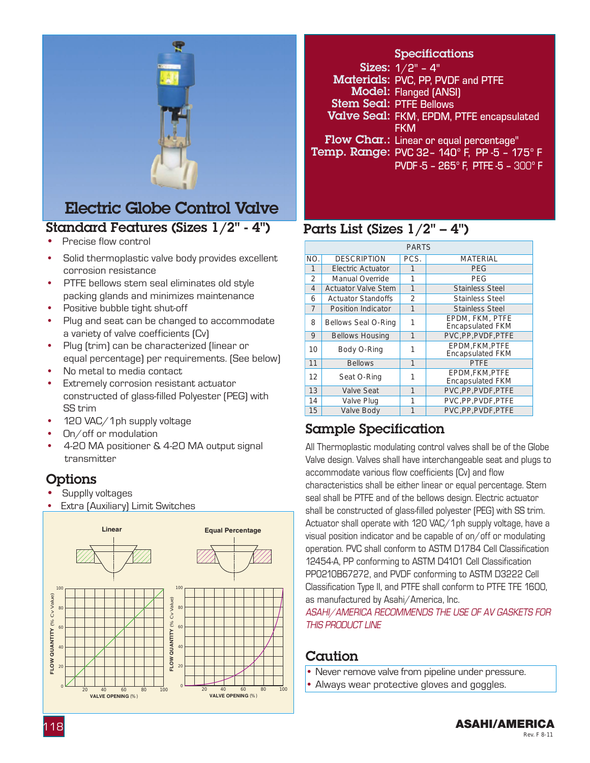

### Standard Features (Sizes 1/2" - 4") Electric Globe Control Valve

- Precise flow control
- Solid thermoplastic valve body provides excellent corrosion resistance
- PTFE bellows stem seal eliminates old style packing glands and minimizes maintenance
- Positive bubble tight shut-off
- Plug and seat can be changed to accommodate a variety of valve coefficients (Cv)
- Plug (trim) can be characterized (linear or equal percentage) per requirements. (See below)
- No metal to media contact
- Extremely corrosion resistant actuator constructed of glass-filled Polyester (PEG) with SS trim
- 120 VAC/1ph supply voltage
- On/off or modulation
- 4-20 MA positioner & 4-20 MA output signal transmitter

### **Options**

- Supplly voltages
- **Extra (Auxiliary) Limit Switches**



#### **Specifications**

Sizes:  $1/2"$  -  $4"$ Materials: PVC, PP, PVDF and PTFE Model: Flanged (ANSI) Stem Seal: PTFE Bellows Valve Seal: FKM, EPDM, PTFE encapsulated **FKM** Flow Char.: Linear or equal percentage" **Temp. Range:** PVC 32- 140° F, PP -5 - 175° F PVDF -5 – 265º F, PTFE -5 – 300º F

### Parts List (Sizes  $1/2$ " – 4")

| <b>PARTS</b> |                            |      |                                            |  |  |  |  |
|--------------|----------------------------|------|--------------------------------------------|--|--|--|--|
| NO.          | <b>DESCRIPTION</b>         | PCS. | <b>MATERIAL</b>                            |  |  |  |  |
| 1            | Electric Actuator          |      | PEG                                        |  |  |  |  |
| 2            | Manual Override            | 1    | PEG                                        |  |  |  |  |
| 4            | <b>Actuator Valve Stem</b> | 1    | <b>Stainless Steel</b>                     |  |  |  |  |
| 6            | <b>Actuator Standoffs</b>  | 2    | <b>Stainless Steel</b>                     |  |  |  |  |
| 7            | <b>Position Indicator</b>  | 1    | <b>Stainless Steel</b>                     |  |  |  |  |
| 8            | Bellows Seal O-Ring        | 1    | EPDM, FKM, PTFE<br><b>Encapsulated FKM</b> |  |  |  |  |
| 9            | <b>Bellows Housing</b>     | 1    | PVC.PP.PVDF.PTFE                           |  |  |  |  |
| 10           | Body O-Ring                |      | EPDM.FKM.PTFE<br><b>Encapsulated FKM</b>   |  |  |  |  |
| 11           | <b>Bellows</b>             | 1    | <b>PTFE</b>                                |  |  |  |  |
| 12           | Seat O-Ring                |      | EPDM.FKM.PTFE<br><b>Encapsulated FKM</b>   |  |  |  |  |
| 13           | Valve Seat                 | 1    | PVC, PP, PVDF, PTFE                        |  |  |  |  |
| 14           | Valve Plug                 | 1    | PVC.PP.PVDF.PTFE                           |  |  |  |  |
| 15           | Valve Body                 |      | PVC.PP.PVDF.PTFE                           |  |  |  |  |

### Sample Specification

All Thermoplastic modulating control valves shall be of the Globe Valve design. Valves shall have interchangeable seat and plugs to accommodate various flow coefficients (Cv) and flow characteristics shall be either linear or equal percentage. Stem seal shall be PTFE and of the bellows design. Electric actuator shall be constructed of glass-filled polyester (PEG) with SS trim. Actuator shall operate with 120 VAC/1ph supply voltage, have a visual position indicator and be capable of on/off or modulating operation. PVC shall conform to ASTM D1784 Cell Classification 12454-A, PP conforming to ASTM D4101 Cell Classification PP0210B67272, and PVDF conforming to ASTM D3222 Cell Classification Type II, and PTFE shall conform to PTFE TFE 1600, as manufactured by Asahi/America, Inc.

ASAHI/AMERICA RECOMMENDS THE USE OF AV GASKETS FOR THIS PRODUCT LINE

### **Caution**

- Never remove valve from pipeline under pressure.
- Always wear protective gloves and goggles.